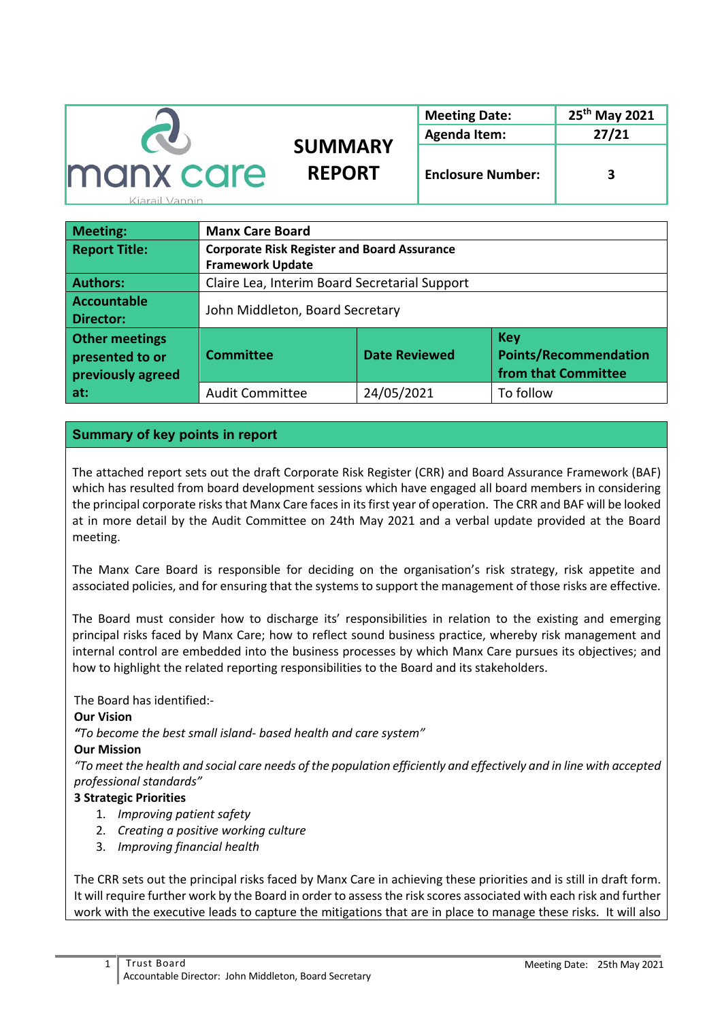|                  |                | <b>Meeting Date:</b>     | 25 <sup>th</sup> May 2021 |  |
|------------------|----------------|--------------------------|---------------------------|--|
|                  |                | <b>Agenda Item:</b>      | 27/21                     |  |
|                  | <b>SUMMARY</b> |                          |                           |  |
| <b>manx care</b> | <b>REPORT</b>  | <b>Enclosure Number:</b> |                           |  |

Kiarail Vannin

| Meeting:              | <b>Manx Care Board</b>                                                   |            |            |  |
|-----------------------|--------------------------------------------------------------------------|------------|------------|--|
| <b>Report Title:</b>  | <b>Corporate Risk Register and Board Assurance</b>                       |            |            |  |
|                       | <b>Framework Update</b>                                                  |            |            |  |
| <b>Authors:</b>       | Claire Lea, Interim Board Secretarial Support                            |            |            |  |
| Accountable           | John Middleton, Board Secretary                                          |            |            |  |
| <b>Director:</b>      |                                                                          |            |            |  |
| <b>Other meetings</b> |                                                                          |            | <b>Key</b> |  |
| presented to or       | <b>Points/Recommendation</b><br><b>Date Reviewed</b><br><b>Committee</b> |            |            |  |
| previously agreed     | from that Committee                                                      |            |            |  |
| at:                   | <b>Audit Committee</b>                                                   | 24/05/2021 | To follow  |  |

# **Summary of key points in report**

The attached report sets out the draft Corporate Risk Register (CRR) and Board Assurance Framework (BAF) which has resulted from board development sessions which have engaged all board members in considering the principal corporate risks that Manx Care faces in its first year of operation. The CRR and BAF will be looked at in more detail by the Audit Committee on 24th May 2021 and a verbal update provided at the Board meeting.

The Manx Care Board is responsible for deciding on the organisation's risk strategy, risk appetite and associated policies, and for ensuring that the systems to support the management of those risks are effective.

The Board must consider how to discharge its' responsibilities in relation to the existing and emerging principal risks faced by Manx Care; how to reflect sound business practice, whereby risk management and internal control are embedded into the business processes by which Manx Care pursues its objectives; and how to highlight the related reporting responsibilities to the Board and its stakeholders.

### The Board has identified:-

## **Our Vision**

*"To become the best small island- based health and care system"*

### **Our Mission**

*"To meet the health and social care needs of the population efficiently and effectively and in line with accepted professional standards"*

## **3 Strategic Priorities**

- 1. *Improving patient safety*
- 2. *Creating a positive working culture*
- 3. *Improving financial health*

The CRR sets out the principal risks faced by Manx Care in achieving these priorities and is still in draft form. It will require further work by the Board in order to assess the risk scores associated with each risk and further work with the executive leads to capture the mitigations that are in place to manage these risks. It will also